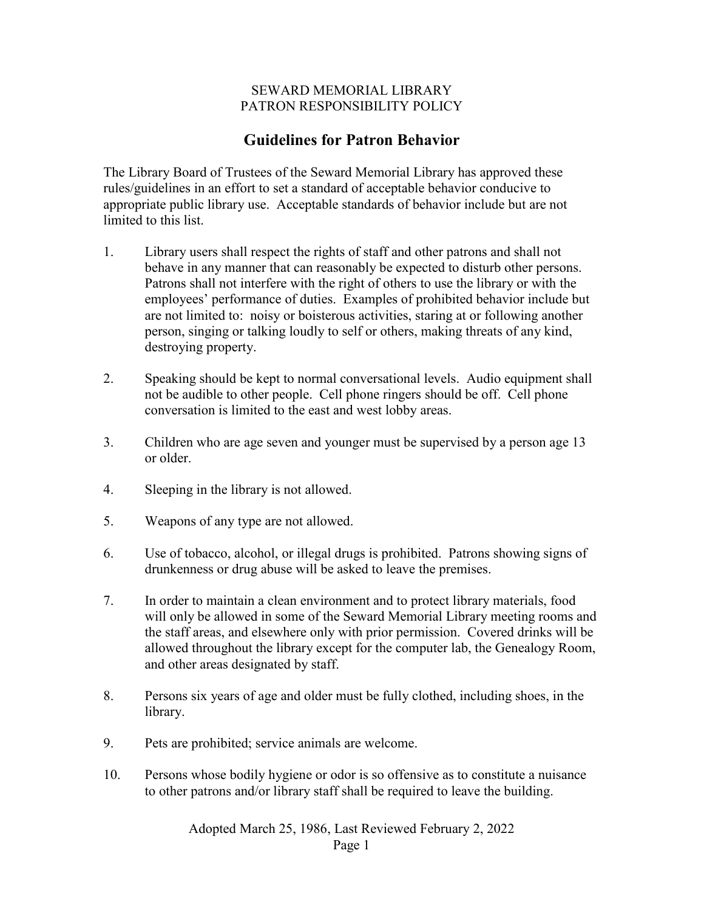## SEWARD MEMORIAL LIBRARY PATRON RESPONSIBILITY POLICY

## **Guidelines for Patron Behavior**

The Library Board of Trustees of the Seward Memorial Library has approved these rules/guidelines in an effort to set a standard of acceptable behavior conducive to appropriate public library use. Acceptable standards of behavior include but are not limited to this list.

- 1. Library users shall respect the rights of staff and other patrons and shall not behave in any manner that can reasonably be expected to disturb other persons. Patrons shall not interfere with the right of others to use the library or with the employees' performance of duties. Examples of prohibited behavior include but are not limited to: noisy or boisterous activities, staring at or following another person, singing or talking loudly to self or others, making threats of any kind, destroying property.
- 2. Speaking should be kept to normal conversational levels. Audio equipment shall not be audible to other people. Cell phone ringers should be off. Cell phone conversation is limited to the east and west lobby areas.
- 3. Children who are age seven and younger must be supervised by a person age 13 or older.
- 4. Sleeping in the library is not allowed.
- 5. Weapons of any type are not allowed.
- 6. Use of tobacco, alcohol, or illegal drugs is prohibited. Patrons showing signs of drunkenness or drug abuse will be asked to leave the premises.
- 7. In order to maintain a clean environment and to protect library materials, food will only be allowed in some of the Seward Memorial Library meeting rooms and the staff areas, and elsewhere only with prior permission. Covered drinks will be allowed throughout the library except for the computer lab, the Genealogy Room, and other areas designated by staff.
- 8. Persons six years of age and older must be fully clothed, including shoes, in the library.
- 9. Pets are prohibited; service animals are welcome.
- 10. Persons whose bodily hygiene or odor is so offensive as to constitute a nuisance to other patrons and/or library staff shall be required to leave the building.

Adopted March 25, 1986, Last Reviewed February 2, 2022

Page 1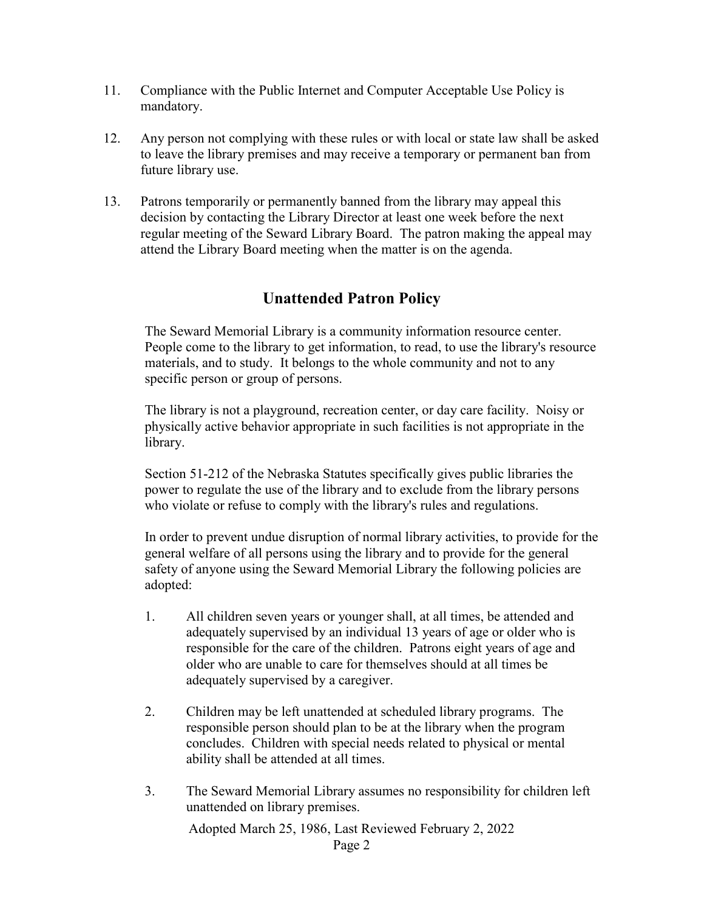- 11. Compliance with the Public Internet and Computer Acceptable Use Policy is mandatory.
- 12. Any person not complying with these rules or with local or state law shall be asked to leave the library premises and may receive a temporary or permanent ban from future library use.
- 13. Patrons temporarily or permanently banned from the library may appeal this decision by contacting the Library Director at least one week before the next regular meeting of the Seward Library Board. The patron making the appeal may attend the Library Board meeting when the matter is on the agenda.

## **Unattended Patron Policy**

The Seward Memorial Library is a community information resource center. People come to the library to get information, to read, to use the library's resource materials, and to study. It belongs to the whole community and not to any specific person or group of persons.

The library is not a playground, recreation center, or day care facility. Noisy or physically active behavior appropriate in such facilities is not appropriate in the library.

Section 51-212 of the Nebraska Statutes specifically gives public libraries the power to regulate the use of the library and to exclude from the library persons who violate or refuse to comply with the library's rules and regulations.

In order to prevent undue disruption of normal library activities, to provide for the general welfare of all persons using the library and to provide for the general safety of anyone using the Seward Memorial Library the following policies are adopted:

- 1. All children seven years or younger shall, at all times, be attended and adequately supervised by an individual 13 years of age or older who is responsible for the care of the children. Patrons eight years of age and older who are unable to care for themselves should at all times be adequately supervised by a caregiver.
- 2. Children may be left unattended at scheduled library programs. The responsible person should plan to be at the library when the program concludes. Children with special needs related to physical or mental ability shall be attended at all times.
- 3. The Seward Memorial Library assumes no responsibility for children left unattended on library premises.

Adopted March 25, 1986, Last Reviewed February 2, 2022